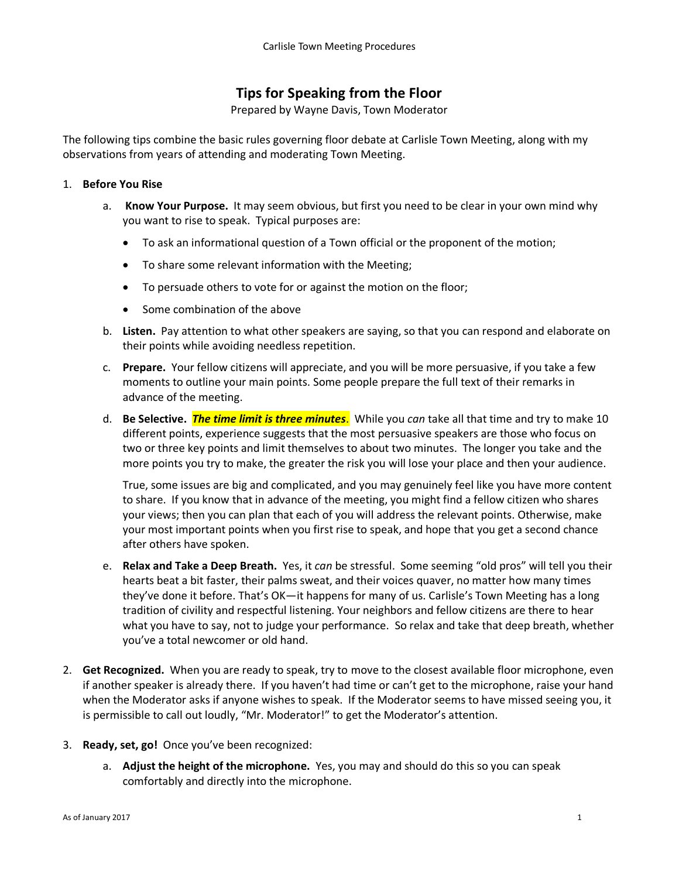## **Tips for Speaking from the Floor**

Prepared by Wayne Davis, Town Moderator

The following tips combine the basic rules governing floor debate at Carlisle Town Meeting, along with my observations from years of attending and moderating Town Meeting.

## 1. **Before You Rise**

- a. **Know Your Purpose.** It may seem obvious, but first you need to be clear in your own mind why you want to rise to speak. Typical purposes are:
	- To ask an informational question of a Town official or the proponent of the motion;
	- To share some relevant information with the Meeting;
	- To persuade others to vote for or against the motion on the floor;
	- Some combination of the above
- b. **Listen.** Pay attention to what other speakers are saying, so that you can respond and elaborate on their points while avoiding needless repetition.
- c. **Prepare.** Your fellow citizens will appreciate, and you will be more persuasive, if you take a few moments to outline your main points. Some people prepare the full text of their remarks in advance of the meeting.
- d. **Be Selective.** *The time limit is three minutes*. While you *can* take all that time and try to make 10 different points, experience suggests that the most persuasive speakers are those who focus on two or three key points and limit themselves to about two minutes. The longer you take and the more points you try to make, the greater the risk you will lose your place and then your audience.

True, some issues are big and complicated, and you may genuinely feel like you have more content to share. If you know that in advance of the meeting, you might find a fellow citizen who shares your views; then you can plan that each of you will address the relevant points. Otherwise, make your most important points when you first rise to speak, and hope that you get a second chance after others have spoken.

- e. **Relax and Take a Deep Breath.** Yes, it *can* be stressful. Some seeming "old pros" will tell you their hearts beat a bit faster, their palms sweat, and their voices quaver, no matter how many times they've done it before. That's OK—it happens for many of us. Carlisle's Town Meeting has a long tradition of civility and respectful listening. Your neighbors and fellow citizens are there to hear what you have to say, not to judge your performance. So relax and take that deep breath, whether you've a total newcomer or old hand.
- 2. **Get Recognized.** When you are ready to speak, try to move to the closest available floor microphone, even if another speaker is already there. If you haven't had time or can't get to the microphone, raise your hand when the Moderator asks if anyone wishes to speak. If the Moderator seems to have missed seeing you, it is permissible to call out loudly, "Mr. Moderator!" to get the Moderator's attention.
- 3. **Ready, set, go!** Once you've been recognized:
	- a. **Adjust the height of the microphone.** Yes, you may and should do this so you can speak comfortably and directly into the microphone.